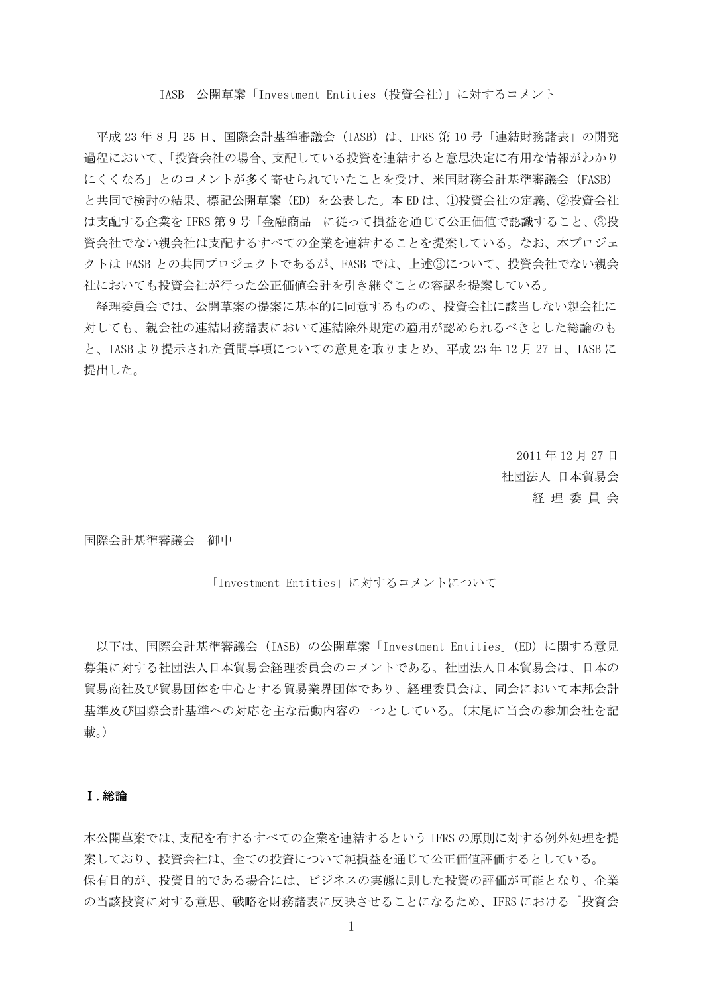#### IASB 公開草案「Investment Entities(投資会社)」に対するコメント

平成 23 年 8 月 25 日、国際会計基準審議会(IASB)は、IFRS 第 10 号「連結財務諸表」の開発 過程において、「投資会社の場合、支配している投資を連結すると意思決定に有用な情報がわかり にくくなる」とのコメントが多く寄せられていたことを受け、米国財務会計基準審議会(FASB) と共同で検討の結果、標記公開草案(ED)を公表した。本 ED は、①投資会社の定義、②投資会社 は支配する企業を IFRS 第 9 号「金融商品」に従って損益を通じて公正価値で認識すること、③投 資会社でない親会社は支配するすべての企業を連結することを提案している。なお、本プロジェ クトは FASB との共同プロジェクトであるが、FASB では、上述③について、投資会社でない親会 社においても投資会社が行った公正価値会計を引き継ぐことの容認を提案している。

経理委員会では、公開草案の提案に基本的に同意するものの、投資会社に該当しない親会社に 対しても、親会社の連結財務諸表において連結除外規定の適用が認められるべきとした総論のも と、IASB より提示された質問事項についての意見を取りまとめ、平成 23 年 12 月 27 日、IASB に 提出した。

> 2011 年 12 月 27 日 社団法人 日本貿易会 経 理 委 員 会

国際会計基準審議会 御中

#### 「Investment Entities」に対するコメントについて

以下は、国際会計基準審議会 (IASB) の公開草案 「Investment Entities」(ED) に関する意見 募集に対する社団法人日本貿易会経理委員会のコメントである。社団法人日本貿易会は、日本の 貿易商社及び貿易団体を中心とする貿易業界団体であり、経理委員会は、同会において本邦会計 基準及び国際会計基準への対応を主な活動内容の一つとしている。(末尾に当会の参加会社を記 載。)

#### Ⅰ.総論

本公開草案では、支配を有するすべての企業を連結するという IFRS の原則に対する例外処理を提 案しており、投資会社は、全ての投資について純損益を通じて公正価値評価するとしている。 保有目的が、投資目的である場合には、ビジネスの実態に則した投資の評価が可能となり、企業 の当該投資に対する意思、戦略を財務諸表に反映させることになるため、IFRS における「投資会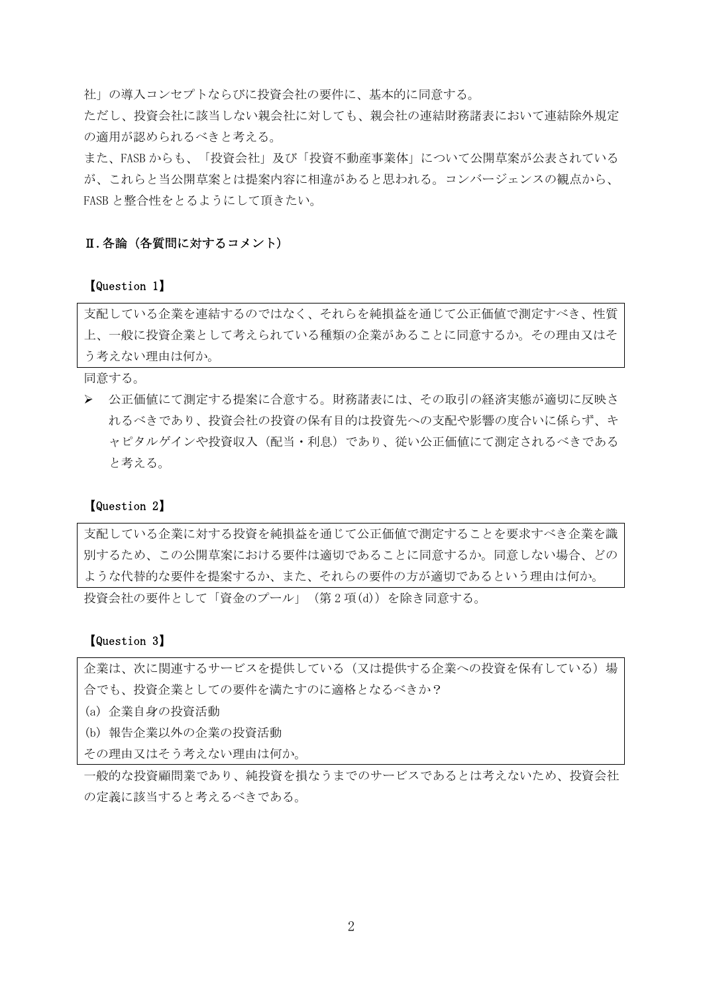社」の導入コンセプトならびに投資会社の要件に、基本的に同意する。

ただし、投資会社に該当しない親会社に対しても、親会社の連結財務諸表において連結除外規定 の適用が認められるべきと考える。

また、FASB からも、「投資会社」及び「投資不動産事業体」について公開草案が公表されている が、これらと当公開草案とは提案内容に相違があると思われる。コンバージェンスの観点から、 FASB と整合性をとるようにして頂きたい。

#### Ⅱ.各論(各質問に対するコメント)

【Question 1】

支配している企業を連結するのではなく、それらを純損益を通じて公正価値で測定すべき、性質 上、一般に投資企業として考えられている種類の企業があることに同意するか。その理由又はそ う考えない理由は何か。

同意する。

¾ 公正価値にて測定する提案に合意する。財務諸表には、その取引の経済実態が適切に反映さ れるべきであり、投資会社の投資の保有目的は投資先への支配や影響の度合いに係らず、キ ャピタルゲインや投資収入(配当・利息)であり、従い公正価値にて測定されるべきである と考える。

#### 【Question 2】

支配している企業に対する投資を純損益を通じて公正価値で測定することを要求すべき企業を識 別するため、この公開草案における要件は適切であることに同意するか。同意しない場合、どの ような代替的な要件を提案するか、また、それらの要件の方が適切であるという理由は何か。

投資会社の要件として「資金のプール」(第 2 項(d))を除き同意する。

### 【Question 3】

企業は、次に関連するサービスを提供している(又は提供する企業への投資を保有している)場 合でも、投資企業としての要件を満たすのに適格となるべきか?

(a) 企業自身の投資活動

(b) 報告企業以外の企業の投資活動

その理由又はそう考えない理由は何か。

一般的な投資顧問業であり、純投資を損なうまでのサービスであるとは考えないため、投資会社 の定義に該当すると考えるべきである。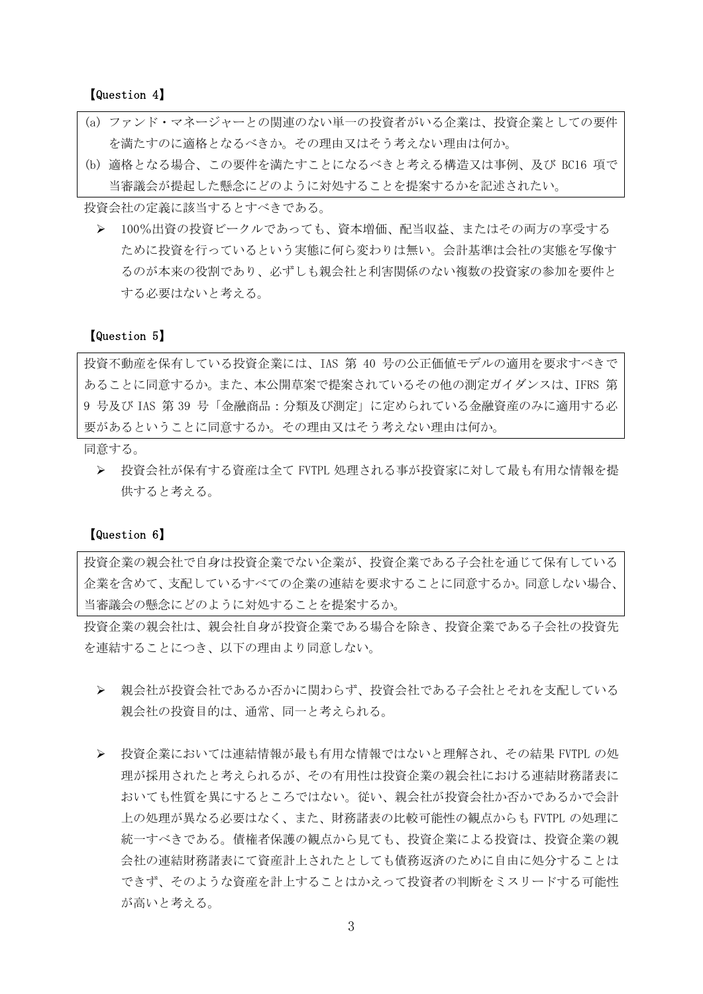【Question 4】

- (a) ファンド・マネージャーとの関連のない単一の投資者がいる企業は、投資企業としての要件 を満たすのに適格となるべきか。その理由又はそう考えない理由は何か。
- (b) 適格となる場合、この要件を満たすことになるべきと考える構造又は事例、及び BC16 項で 当審議会が提起した懸念にどのように対処することを提案するかを記述されたい。

投資会社の定義に該当するとすべきである。

▶ 100%出資の投資ビークルであっても、資本増価、配当収益、またはその両方の享受する ために投資を行っているという実態に何ら変わりは無い。会計基準は会社の実態を写像す るのが本来の役割であり、必ずしも親会社と利害関係のない複数の投資家の参加を要件と する必要はないと考える。

### 【Question 5】

投資不動産を保有している投資企業には、IAS 第 40 号の公正価値モデルの適用を要求すべきで あることに同意するか。また、本公開草案で提案されているその他の測定ガイダンスは、IFRS 第 9 号及び IAS 第 39 号「金融商品:分類及び測定」に定められている金融資産のみに適用する必 要があるということに同意するか。その理由又はそう考えない理由は何か。

同意する。

¾ 投資会社が保有する資産は全て FVTPL 処理される事が投資家に対して最も有用な情報を提 供すると考える。

#### 【Question 6】

投資企業の親会社で自身は投資企業でない企業が、投資企業である子会社を通じて保有している 企業を含めて、支配しているすべての企業の連結を要求することに同意するか。同意しない場合、 当審議会の懸念にどのように対処することを提案するか。

投資企業の親会社は、親会社自身が投資企業である場合を除き、投資企業である子会社の投資先 を連結することにつき、以下の理由より同意しない。

- ¾ 親会社が投資会社であるか否かに関わらず、投資会社である子会社とそれを支配している 親会社の投資目的は、通常、同一と考えられる。
- ¾ 投資企業においては連結情報が最も有用な情報ではないと理解され、その結果 FVTPL の処 理が採用されたと考えられるが、その有用性は投資企業の親会社における連結財務諸表に おいても性質を異にするところではない。従い、親会社が投資会社か否かであるかで会計 上の処理が異なる必要はなく、また、財務諸表の比較可能性の観点からも FVTPL の処理に 統一すべきである。債権者保護の観点から見ても、投資企業による投資は、投資企業の親 会社の連結財務諸表にて資産計上されたとしても債務返済のために自由に処分することは できず、そのような資産を計上することはかえって投資者の判断をミスリードする可能性 が高いと考える。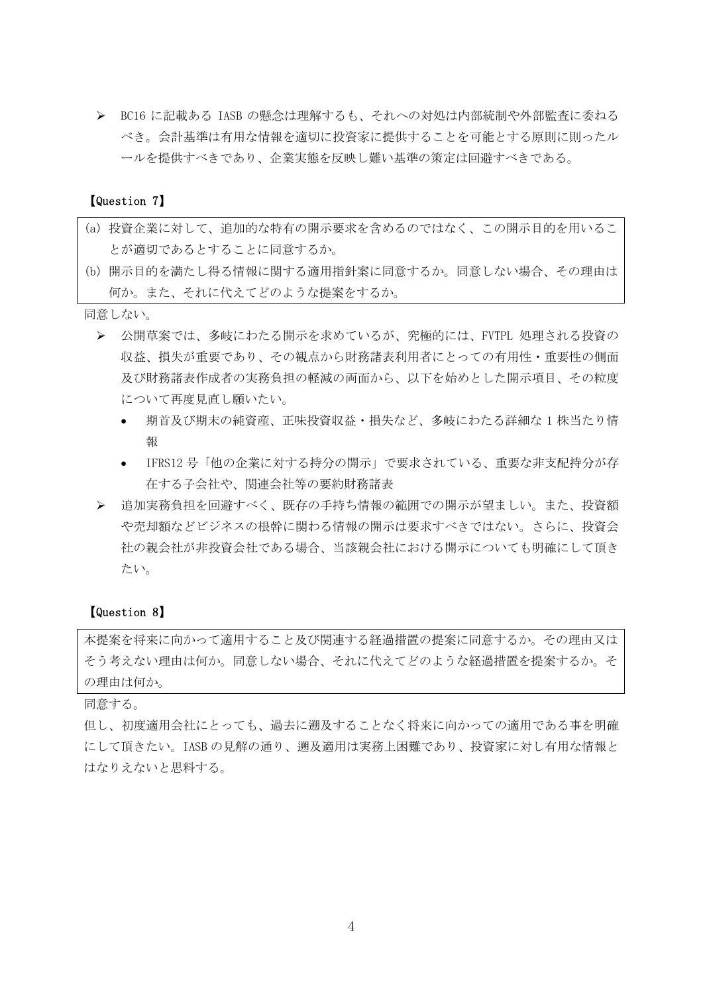¾ BC16 に記載ある IASB の懸念は理解するも、それへの対処は内部統制や外部監査に委ねる べき。会計基準は有用な情報を適切に投資家に提供することを可能とする原則に則ったル ールを提供すべきであり、企業実態を反映し難い基準の策定は回避すべきである。

### 【Question 7】

- (a) 投資企業に対して、追加的な特有の開示要求を含めるのではなく、この開示目的を用いるこ とが適切であるとすることに同意するか。
- (b) 開示目的を満たし得る情報に関する適用指針案に同意するか。同意しない場合、その理由は 何か。また、それに代えてどのような提案をするか。

同意しない。

- ¾ 公開草案では、多岐にわたる開示を求めているが、究極的には、FVTPL 処理される投資の 収益、損失が重要であり、その観点から財務諸表利用者にとっての有用性・重要性の側面 及び財務諸表作成者の実務負担の軽減の両面から、以下を始めとした開示項目、その粒度 について再度見直し願いたい。
	- 期首及び期末の純資産、正味投資収益・損失など、多岐にわたる詳細な 1 株当たり情 報
	- IFRS12 号「他の企業に対する持分の開示」で要求されている、重要な非支配持分が存 在する子会社や、関連会社等の要約財務諸表
- ¾ 追加実務負担を回避すべく、既存の手持ち情報の範囲での開示が望ましい。また、投資額 や売却額などビジネスの根幹に関わる情報の開示は要求すべきではない。さらに、投資会 社の親会社が非投資会社である場合、当該親会社における開示についても明確にして頂き たい。

#### 【Question 8】

本提案を将来に向かって適用すること及び関連する経過措置の提案に同意するか。その理由又は そう考えない理由は何か。同意しない場合、それに代えてどのような経過措置を提案するか。そ の理由は何か。

同意する。

但し、初度適用会社にとっても、過去に遡及することなく将来に向かっての適用である事を明確 にして頂きたい。IASB の見解の通り、遡及適用は実務上困難であり、投資家に対し有用な情報と はなりえないと思料する。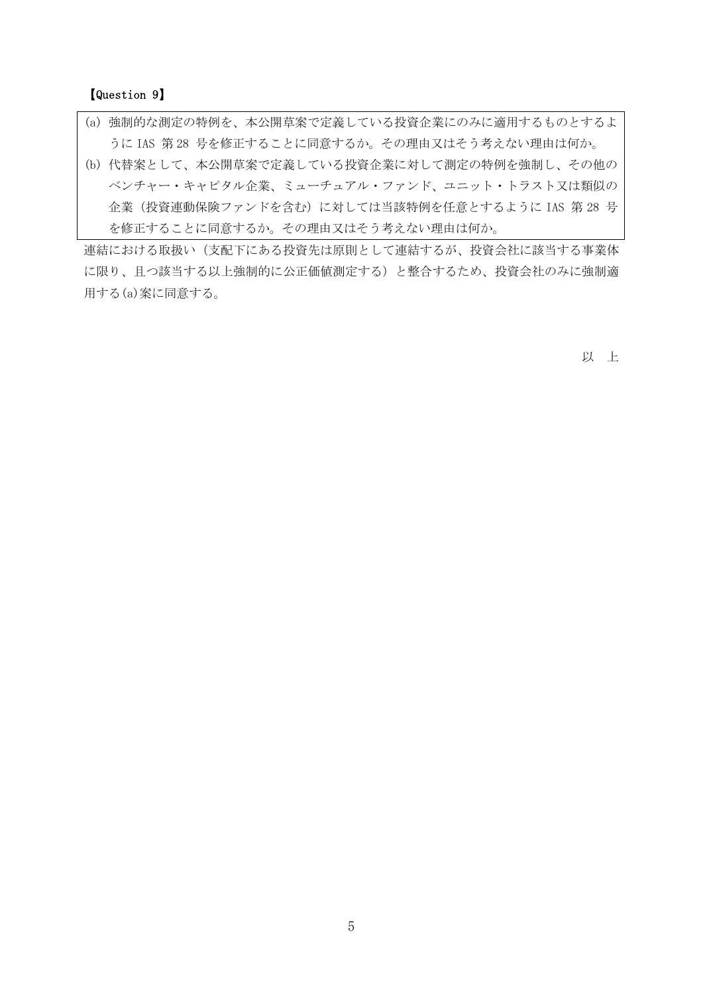【Question 9】

- (a) 強制的な測定の特例を、本公開草案で定義している投資企業にのみに適用するものとするよ うに IAS 第 28 号を修正することに同意するか。その理由又はそう考えない理由は何か。
- (b) 代替案として、本公開草案で定義している投資企業に対して測定の特例を強制し、その他の ベンチャー・キャピタル企業、ミューチュアル・ファンド、ユニット・トラスト又は類似の 企業(投資連動保険ファンドを含む)に対しては当該特例を任意とするように IAS 第 28 号 を修正することに同意するか。その理由又はそう考えない理由は何か。

連結における取扱い(支配下にある投資先は原則として連結するが、投資会社に該当する事業体 に限り、且つ該当する以上強制的に公正価値測定する)と整合するため、投資会社のみに強制適 用する(a)案に同意する。

以 上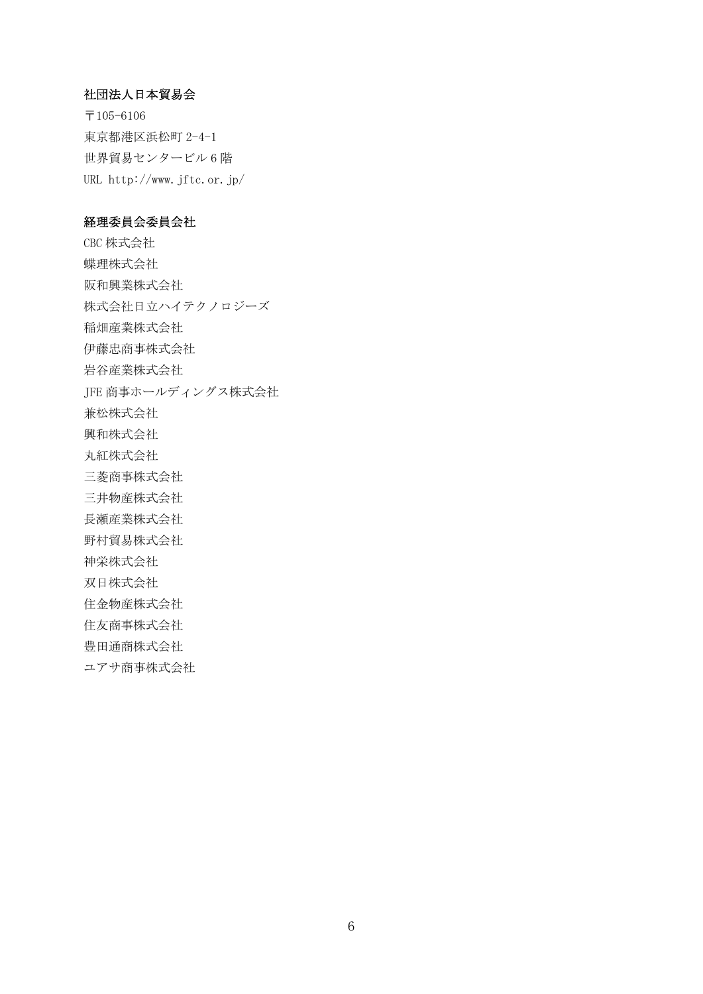### 社団法人日本貿易会

〒105-6106 東京都港区浜松町 2-4-1 世界貿易センタービル 6 階 URL http://www.jftc.or.jp/

### 経理委員会委員会社

CBC 株式会社 蝶理株式会社 阪和興業株式会社 株式会社日立ハイテクノロジーズ 稲畑産業株式会社 伊藤忠商事株式会社 岩谷産業株式会社 JFE 商事ホールディングス株式会社 兼松株式会社 興和株式会社 丸紅株式会社 三菱商事株式会社 三井物産株式会社 長瀬産業株式会社 野村貿易株式会社 神栄株式会社 双日株式会社 住金物産株式会社 住友商事株式会社 豊田通商株式会社

ユアサ商事株式会社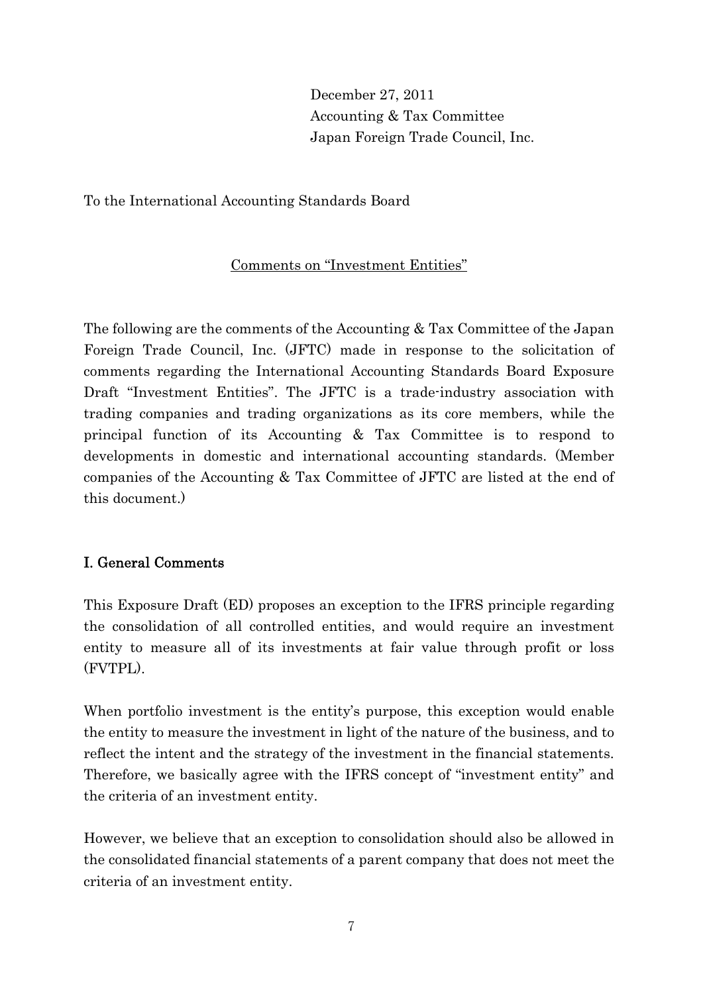December 27, 2011 Accounting & Tax Committee Japan Foreign Trade Council, Inc.

To the International Accounting Standards Board

# Comments on "Investment Entities"

The following are the comments of the Accounting & Tax Committee of the Japan Foreign Trade Council, Inc. (JFTC) made in response to the solicitation of comments regarding the International Accounting Standards Board Exposure Draft "Investment Entities". The JFTC is a trade-industry association with trading companies and trading organizations as its core members, while the principal function of its Accounting & Tax Committee is to respond to developments in domestic and international accounting standards. (Member companies of the Accounting & Tax Committee of JFTC are listed at the end of this document.)

# I. General Comments

This Exposure Draft (ED) proposes an exception to the IFRS principle regarding the consolidation of all controlled entities, and would require an investment entity to measure all of its investments at fair value through profit or loss (FVTPL).

When portfolio investment is the entity's purpose, this exception would enable the entity to measure the investment in light of the nature of the business, and to reflect the intent and the strategy of the investment in the financial statements. Therefore, we basically agree with the IFRS concept of "investment entity" and the criteria of an investment entity.

However, we believe that an exception to consolidation should also be allowed in the consolidated financial statements of a parent company that does not meet the criteria of an investment entity.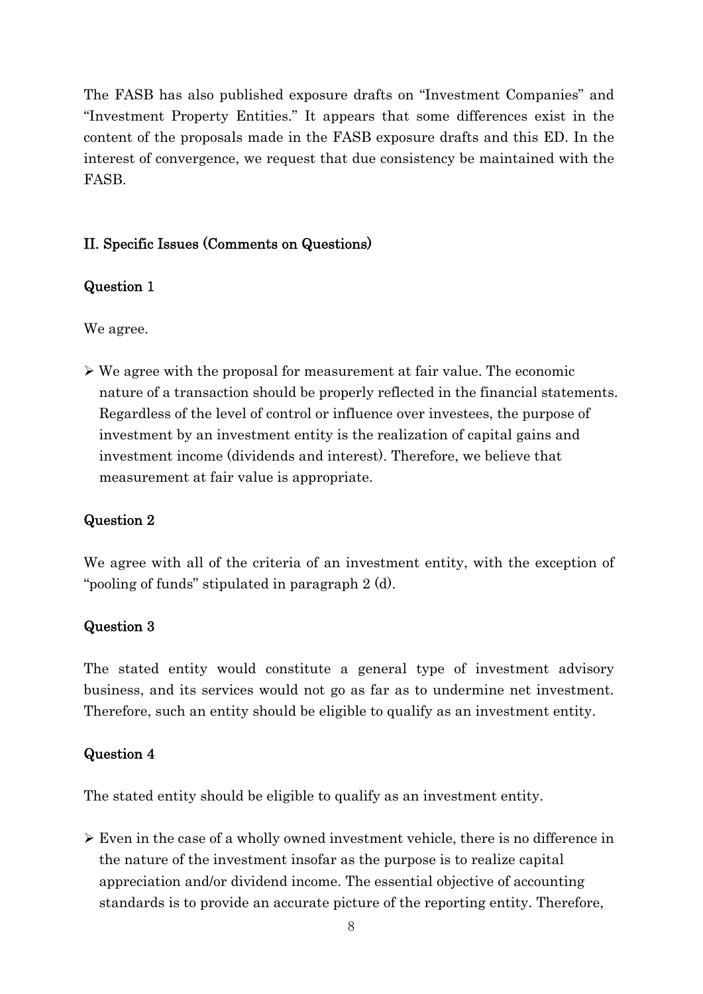The FASB has also published exposure drafts on "Investment Companies" and "Investment Property Entities." It appears that some differences exist in the content of the proposals made in the FASB exposure drafts and this ED. In the interest of convergence, we request that due consistency be maintained with the FASB.

## II. Specific Issues (Comments on Questions)

### Question 1

We agree.

 $\triangleright$  We agree with the proposal for measurement at fair value. The economic nature of a transaction should be properly reflected in the financial statements. Regardless of the level of control or influence over investees, the purpose of investment by an investment entity is the realization of capital gains and investment income (dividends and interest). Therefore, we believe that measurement at fair value is appropriate.

## Question 2

We agree with all of the criteria of an investment entity, with the exception of "pooling of funds" stipulated in paragraph 2 (d).

## Question 3

The stated entity would constitute a general type of investment advisory business, and its services would not go as far as to undermine net investment. Therefore, such an entity should be eligible to qualify as an investment entity.

## Question 4

The stated entity should be eligible to qualify as an investment entity.

 $\triangleright$  Even in the case of a wholly owned investment vehicle, there is no difference in the nature of the investment insofar as the purpose is to realize capital appreciation and/or dividend income. The essential objective of accounting standards is to provide an accurate picture of the reporting entity. Therefore,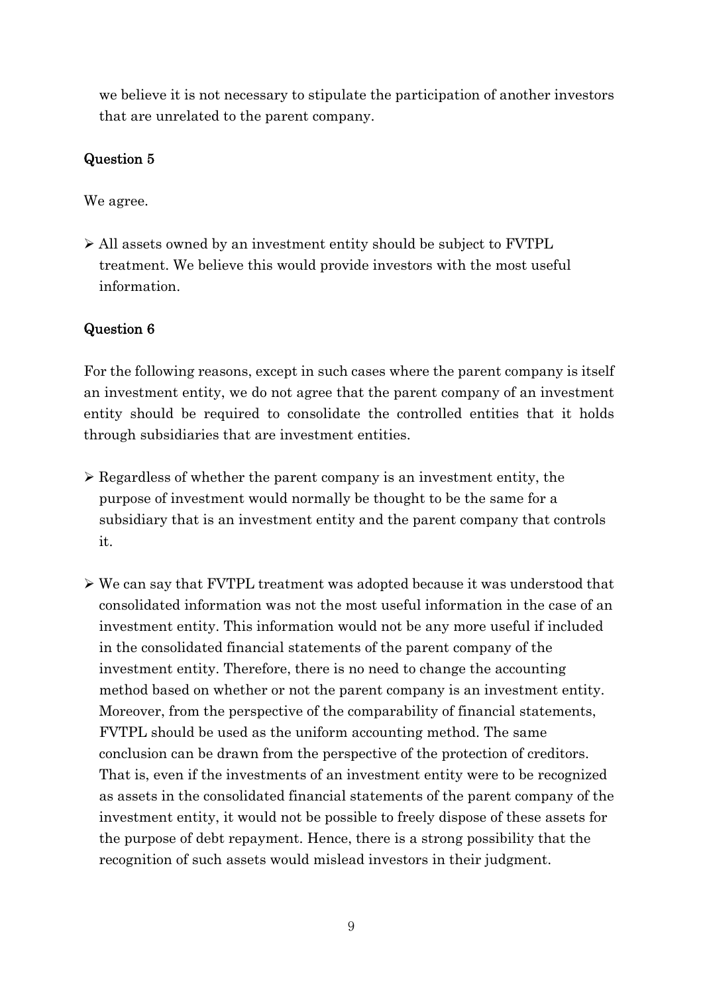we believe it is not necessary to stipulate the participation of another investors that are unrelated to the parent company.

# Question 5

We agree.

¾ All assets owned by an investment entity should be subject to FVTPL treatment. We believe this would provide investors with the most useful information.

# Question 6

For the following reasons, except in such cases where the parent company is itself an investment entity, we do not agree that the parent company of an investment entity should be required to consolidate the controlled entities that it holds through subsidiaries that are investment entities.

- $\triangleright$  Regardless of whether the parent company is an investment entity, the purpose of investment would normally be thought to be the same for a subsidiary that is an investment entity and the parent company that controls it.
- ¾ We can say that FVTPL treatment was adopted because it was understood that consolidated information was not the most useful information in the case of an investment entity. This information would not be any more useful if included in the consolidated financial statements of the parent company of the investment entity. Therefore, there is no need to change the accounting method based on whether or not the parent company is an investment entity. Moreover, from the perspective of the comparability of financial statements, FVTPL should be used as the uniform accounting method. The same conclusion can be drawn from the perspective of the protection of creditors. That is, even if the investments of an investment entity were to be recognized as assets in the consolidated financial statements of the parent company of the investment entity, it would not be possible to freely dispose of these assets for the purpose of debt repayment. Hence, there is a strong possibility that the recognition of such assets would mislead investors in their judgment.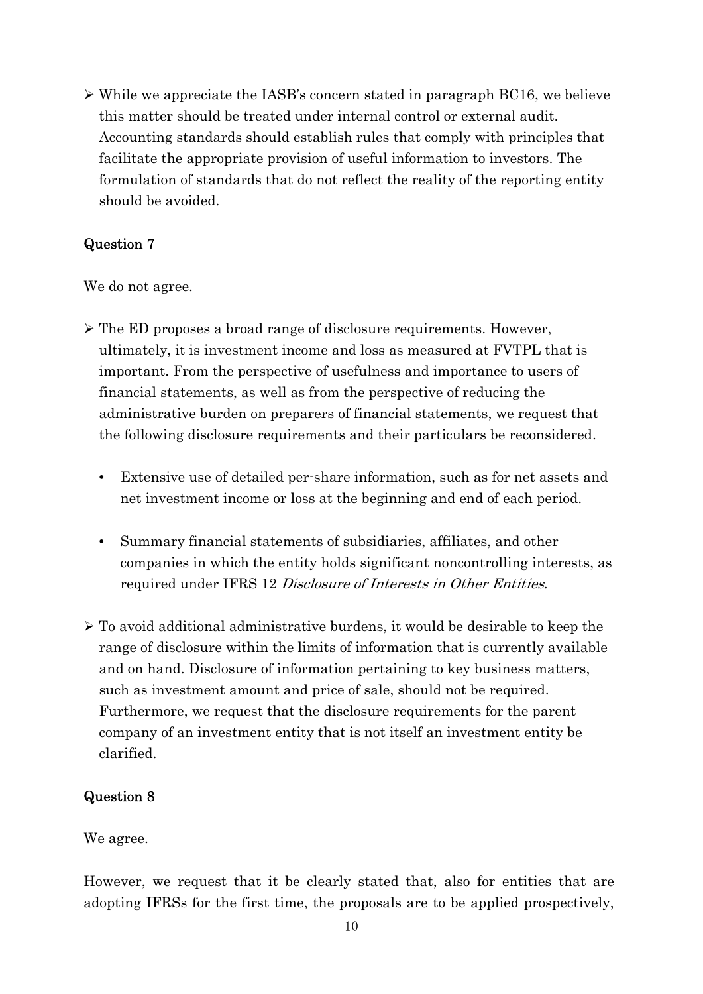$\triangleright$  While we appreciate the IASB's concern stated in paragraph BC16, we believe this matter should be treated under internal control or external audit. Accounting standards should establish rules that comply with principles that facilitate the appropriate provision of useful information to investors. The formulation of standards that do not reflect the reality of the reporting entity should be avoided.

# Question 7

We do not agree.

- ¾ The ED proposes a broad range of disclosure requirements. However, ultimately, it is investment income and loss as measured at FVTPL that is important. From the perspective of usefulness and importance to users of financial statements, as well as from the perspective of reducing the administrative burden on preparers of financial statements, we request that the following disclosure requirements and their particulars be reconsidered.
	- Extensive use of detailed per-share information, such as for net assets and net investment income or loss at the beginning and end of each period.
	- Summary financial statements of subsidiaries, affiliates, and other companies in which the entity holds significant noncontrolling interests, as required under IFRS 12 Disclosure of Interests in Other Entities.
- $\triangleright$  To avoid additional administrative burdens, it would be desirable to keep the range of disclosure within the limits of information that is currently available and on hand. Disclosure of information pertaining to key business matters, such as investment amount and price of sale, should not be required. Furthermore, we request that the disclosure requirements for the parent company of an investment entity that is not itself an investment entity be clarified.

# Question 8

We agree.

However, we request that it be clearly stated that, also for entities that are adopting IFRSs for the first time, the proposals are to be applied prospectively,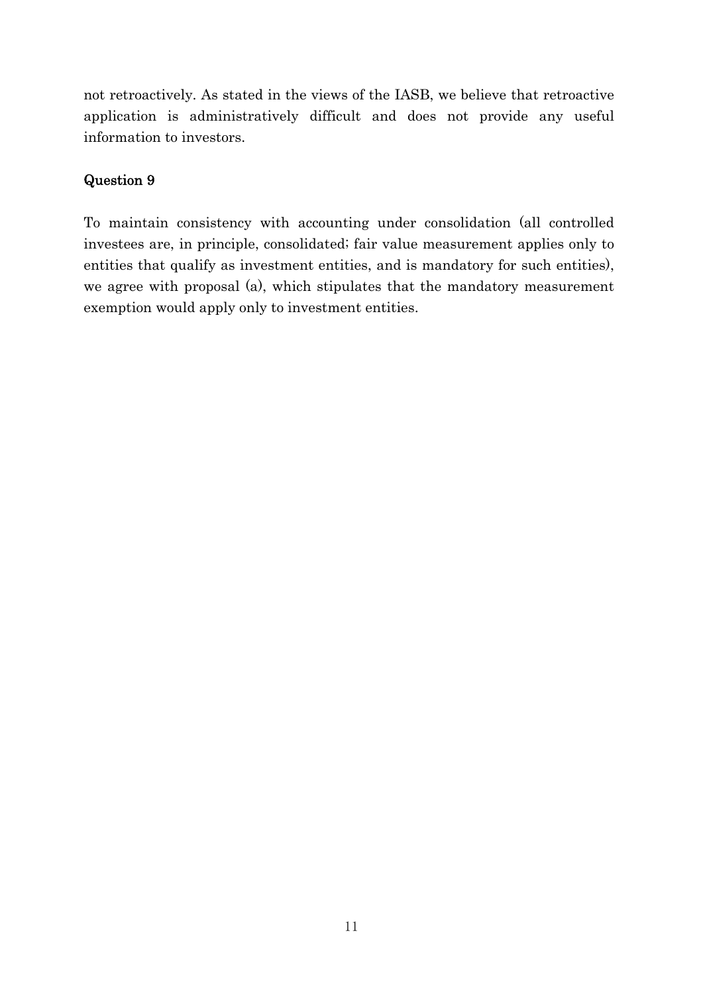not retroactively. As stated in the views of the IASB, we believe that retroactive application is administratively difficult and does not provide any useful information to investors.

# Question 9

To maintain consistency with accounting under consolidation (all controlled investees are, in principle, consolidated; fair value measurement applies only to entities that qualify as investment entities, and is mandatory for such entities), we agree with proposal (a), which stipulates that the mandatory measurement exemption would apply only to investment entities.